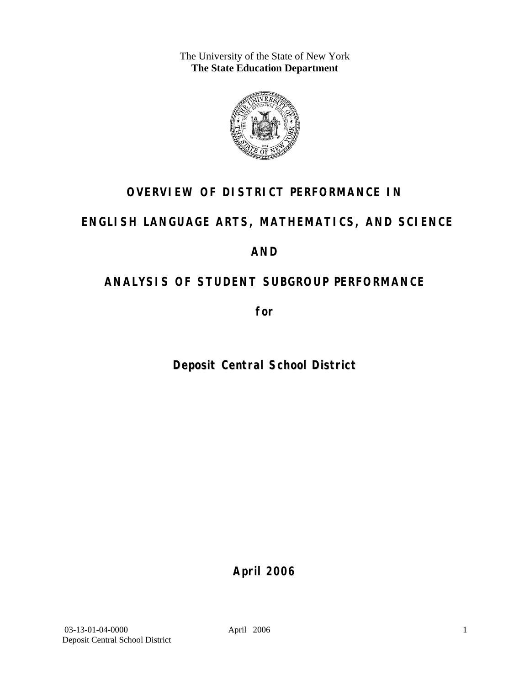The University of the State of New York **The State Education Department** 



## **OVERVIEW OF DISTRICT PERFORMANCE IN**

## **ENGLISH LANGUAGE ARTS, MATHEMATICS, AND SCIENCE**

## **AND**

## **ANALYSIS OF STUDENT SUBGROUP PERFORMANCE**

**for** 

**Deposit Central School District**

**April 2006**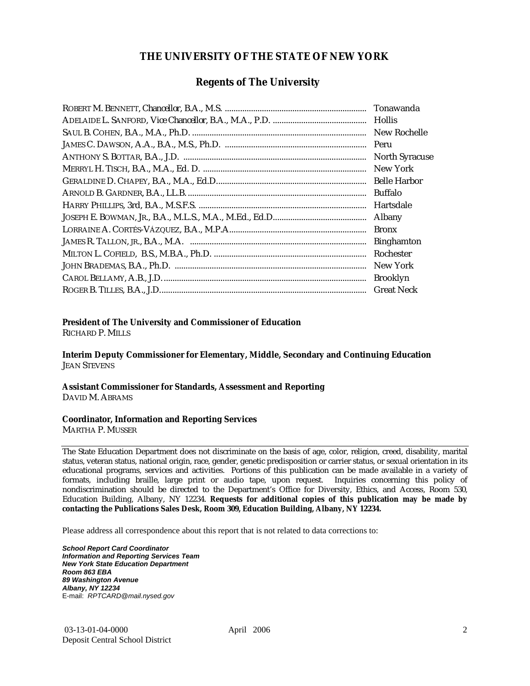#### **THE UNIVERSITY OF THE STATE OF NEW YORK**

#### **Regents of The University**

| Hollis                |
|-----------------------|
| New Rochelle          |
|                       |
| <b>North Syracuse</b> |
| New York              |
|                       |
| Buffalo               |
| Hartsdale             |
| Albany                |
| <b>Bronx</b>          |
| <b>Binghamton</b>     |
| Rochester             |
| New York              |
| <b>Brooklyn</b>       |
| <b>Great Neck</b>     |

#### **President of The University and Commissioner of Education**

RICHARD P. MILLS

**Interim Deputy Commissioner for Elementary, Middle, Secondary and Continuing Education**  JEAN STEVENS

#### **Assistant Commissioner for Standards, Assessment and Reporting**  DAVID M. ABRAMS

#### **Coordinator, Information and Reporting Services**

MARTHA P. MUSSER

The State Education Department does not discriminate on the basis of age, color, religion, creed, disability, marital status, veteran status, national origin, race, gender, genetic predisposition or carrier status, or sexual orientation in its educational programs, services and activities. Portions of this publication can be made available in a variety of formats, including braille, large print or audio tape, upon request. Inquiries concerning this policy of nondiscrimination should be directed to the Department's Office for Diversity, Ethics, and Access, Room 530, Education Building, Albany, NY 12234. **Requests for additional copies of this publication may be made by contacting the Publications Sales Desk, Room 309, Education Building, Albany, NY 12234.** 

Please address all correspondence about this report that is not related to data corrections to:

*School Report Card Coordinator Information and Reporting Services Team New York State Education Department Room 863 EBA 89 Washington Avenue Albany, NY 12234*  E-mail: *RPTCARD@mail.nysed.gov*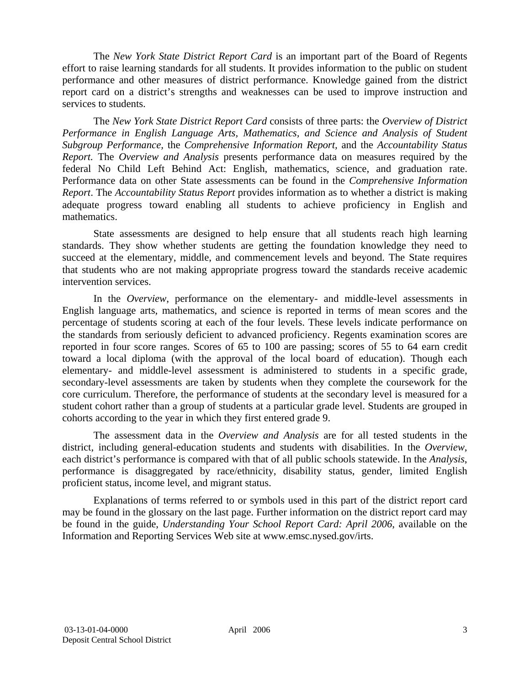The *New York State District Report Card* is an important part of the Board of Regents effort to raise learning standards for all students. It provides information to the public on student performance and other measures of district performance. Knowledge gained from the district report card on a district's strengths and weaknesses can be used to improve instruction and services to students.

The *New York State District Report Card* consists of three parts: the *Overview of District Performance in English Language Arts, Mathematics, and Science and Analysis of Student Subgroup Performance,* the *Comprehensive Information Report,* and the *Accountability Status Report.* The *Overview and Analysis* presents performance data on measures required by the federal No Child Left Behind Act: English, mathematics, science, and graduation rate. Performance data on other State assessments can be found in the *Comprehensive Information Report*. The *Accountability Status Report* provides information as to whether a district is making adequate progress toward enabling all students to achieve proficiency in English and mathematics.

State assessments are designed to help ensure that all students reach high learning standards. They show whether students are getting the foundation knowledge they need to succeed at the elementary, middle, and commencement levels and beyond. The State requires that students who are not making appropriate progress toward the standards receive academic intervention services.

In the *Overview*, performance on the elementary- and middle-level assessments in English language arts, mathematics, and science is reported in terms of mean scores and the percentage of students scoring at each of the four levels. These levels indicate performance on the standards from seriously deficient to advanced proficiency. Regents examination scores are reported in four score ranges. Scores of 65 to 100 are passing; scores of 55 to 64 earn credit toward a local diploma (with the approval of the local board of education). Though each elementary- and middle-level assessment is administered to students in a specific grade, secondary-level assessments are taken by students when they complete the coursework for the core curriculum. Therefore, the performance of students at the secondary level is measured for a student cohort rather than a group of students at a particular grade level. Students are grouped in cohorts according to the year in which they first entered grade 9.

The assessment data in the *Overview and Analysis* are for all tested students in the district, including general-education students and students with disabilities. In the *Overview*, each district's performance is compared with that of all public schools statewide. In the *Analysis*, performance is disaggregated by race/ethnicity, disability status, gender, limited English proficient status, income level, and migrant status.

Explanations of terms referred to or symbols used in this part of the district report card may be found in the glossary on the last page. Further information on the district report card may be found in the guide, *Understanding Your School Report Card: April 2006*, available on the Information and Reporting Services Web site at www.emsc.nysed.gov/irts.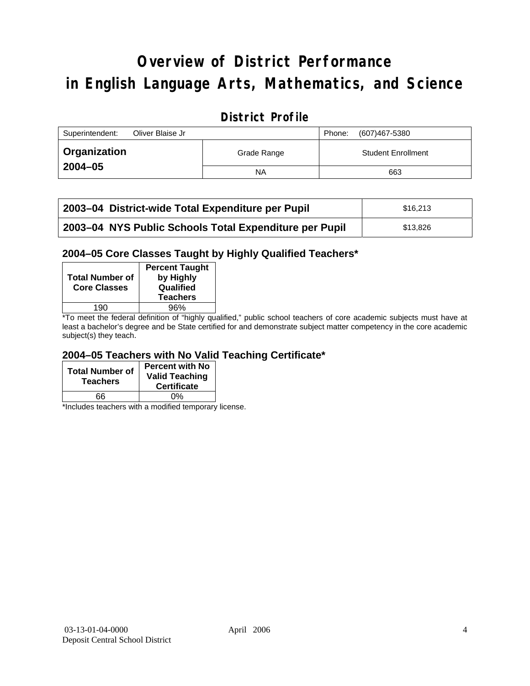# **Overview of District Performance in English Language Arts, Mathematics, and Science**

## **District Profile**

| Superintendent:<br>Oliver Blaise Jr |             | (607)467-5380<br>Phone:   |
|-------------------------------------|-------------|---------------------------|
| Organization                        | Grade Range | <b>Student Enrollment</b> |
| $2004 - 05$                         | NA          | 663                       |

| 2003–04 District-wide Total Expenditure per Pupil      | \$16,213 |
|--------------------------------------------------------|----------|
| 2003-04 NYS Public Schools Total Expenditure per Pupil | \$13,826 |

#### **2004–05 Core Classes Taught by Highly Qualified Teachers\***

| <b>Total Number of</b><br><b>Core Classes</b> | <b>Percent Taught</b><br>by Highly<br>Qualified<br><b>Teachers</b> |
|-----------------------------------------------|--------------------------------------------------------------------|
| 190                                           | 96%                                                                |
| $\sim$ $\sim$ $\sim$                          | $\cdots$<br>$\cdots$                                               |

\*To meet the federal definition of "highly qualified," public school teachers of core academic subjects must have at least a bachelor's degree and be State certified for and demonstrate subject matter competency in the core academic subject(s) they teach.

#### **2004–05 Teachers with No Valid Teaching Certificate\***

| <b>Total Number of</b><br><b>Teachers</b> | <b>Percent with No</b><br><b>Valid Teaching</b><br><b>Certificate</b> |
|-------------------------------------------|-----------------------------------------------------------------------|
| 66                                        | ሰ%                                                                    |

\*Includes teachers with a modified temporary license.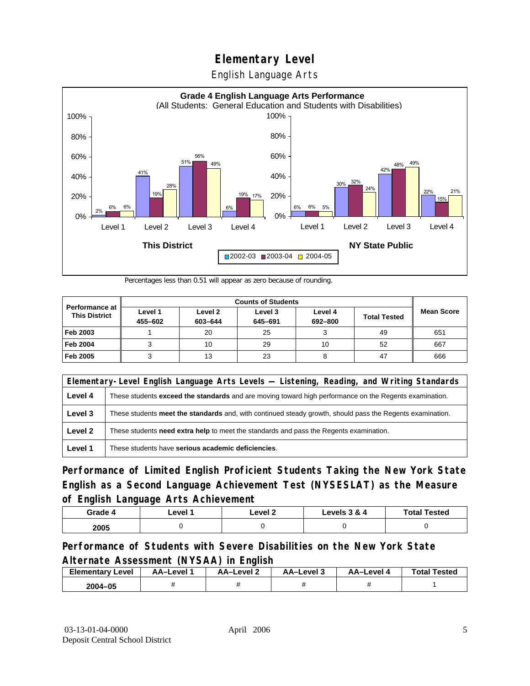English Language Arts



Percentages less than 0.51 will appear as zero because of rounding.

|                                               | <b>Counts of Students</b> |                    |                    |                    |                     |                   |
|-----------------------------------------------|---------------------------|--------------------|--------------------|--------------------|---------------------|-------------------|
| <b>Performance at</b><br><b>This District</b> | Level 1<br>455-602        | Level 2<br>603-644 | Level 3<br>645-691 | Level 4<br>692-800 | <b>Total Tested</b> | <b>Mean Score</b> |
| Feb 2003                                      |                           | 20                 | 25                 |                    | 49                  | 651               |
| <b>Feb 2004</b>                               |                           | 10                 | 29                 | 10                 | 52                  | 667               |
| Feb 2005                                      |                           | 13                 | 23                 |                    | 47                  | 666               |

|         | Elementary-Level English Language Arts Levels — Listening, Reading, and Writing Standards                     |  |  |  |  |
|---------|---------------------------------------------------------------------------------------------------------------|--|--|--|--|
| Level 4 | These students <b>exceed the standards</b> and are moving toward high performance on the Regents examination. |  |  |  |  |
| Level 3 | These students meet the standards and, with continued steady growth, should pass the Regents examination.     |  |  |  |  |
| Level 2 | These students <b>need extra help</b> to meet the standards and pass the Regents examination.                 |  |  |  |  |
| Level 1 | These students have serious academic deficiencies.                                                            |  |  |  |  |

**Performance of Limited English Proficient Students Taking the New York State English as a Second Language Achievement Test (NYSESLAT) as the Measure of English Language Arts Achievement**

| Grade 4 | ∟evel ′ | Level 2 | Levels 3 & 4 | <b>Total Tested</b> |
|---------|---------|---------|--------------|---------------------|
| 2005    |         |         |              |                     |

### **Performance of Students with Severe Disabilities on the New York State Alternate Assessment (NYSAA) in English**

| <b>Elementary</b><br>Level | AA-Level | <b>AA-Level 2</b> | AA-Level 3 | AA-Level | <b>Total Tested</b> |
|----------------------------|----------|-------------------|------------|----------|---------------------|
| 2004-05                    |          |                   |            |          |                     |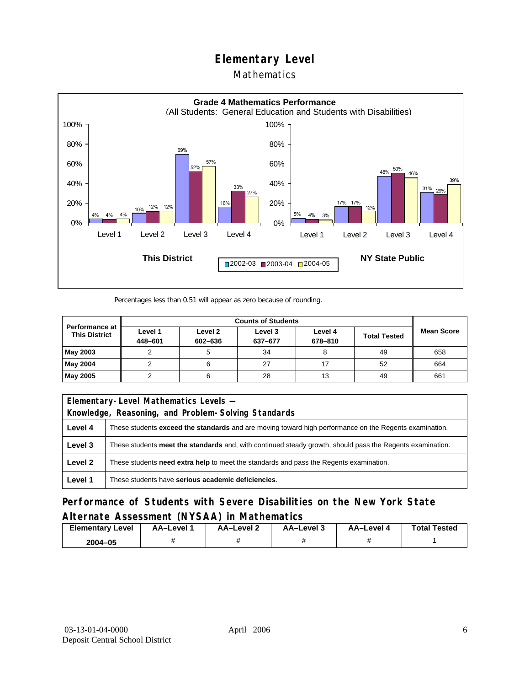### Mathematics



Percentages less than 0.51 will appear as zero because of rounding.

|                                               | <b>Counts of Students</b> |                    |                    |                    |                     |                   |
|-----------------------------------------------|---------------------------|--------------------|--------------------|--------------------|---------------------|-------------------|
| <b>Performance at</b><br><b>This District</b> | Level 1<br>448-601        | Level 2<br>602-636 | Level 3<br>637-677 | Level 4<br>678-810 | <b>Total Tested</b> | <b>Mean Score</b> |
| May 2003                                      |                           |                    | 34                 |                    | 49                  | 658               |
| May 2004                                      |                           |                    | 27                 |                    | 52                  | 664               |
| May 2005                                      |                           |                    | 28                 | 13                 | 49                  | 661               |

| Elementary-Level Mathematics Levels - |                                                                                                               |  |  |  |  |
|---------------------------------------|---------------------------------------------------------------------------------------------------------------|--|--|--|--|
|                                       | Knowledge, Reasoning, and Problem-Solving Standards                                                           |  |  |  |  |
| Level 4                               | These students <b>exceed the standards</b> and are moving toward high performance on the Regents examination. |  |  |  |  |
| Level 3                               | These students meet the standards and, with continued steady growth, should pass the Regents examination.     |  |  |  |  |
| Level 2                               | These students <b>need extra help</b> to meet the standards and pass the Regents examination.                 |  |  |  |  |
| Level 1                               | These students have serious academic deficiencies.                                                            |  |  |  |  |

**Performance of Students with Severe Disabilities on the New York State Alternate Assessment (NYSAA) in Mathematics** 

| Elementary<br>Level | AA-Level | <b>AA-Level 2</b> | AA-Level 3 | AA-Level 4 | <b>Total Tested</b> |
|---------------------|----------|-------------------|------------|------------|---------------------|
| 2004-05             |          |                   |            |            |                     |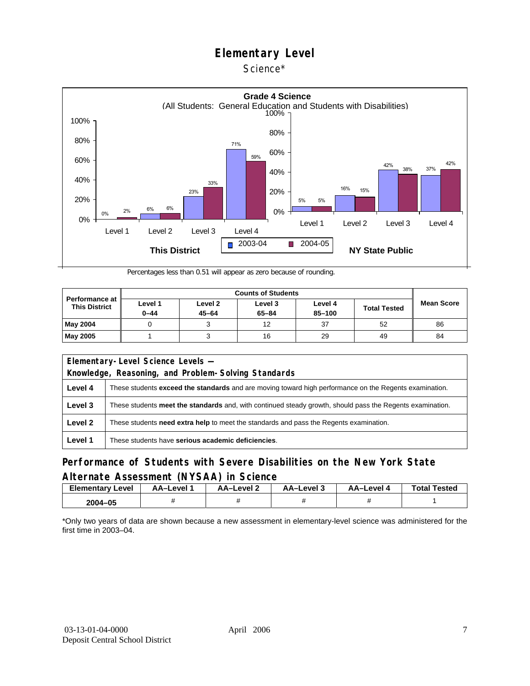#### Science\*



Percentages less than 0.51 will appear as zero because of rounding.

| <b>Performance at</b><br><b>This District</b> | Level 1<br>$0 - 44$ | Level 2<br>$45 - 64$ | Level 3<br>$65 - 84$ | Level 4<br>85-100 | <b>Total Tested</b> | <b>Mean Score</b> |
|-----------------------------------------------|---------------------|----------------------|----------------------|-------------------|---------------------|-------------------|
| May 2004                                      |                     |                      | 12                   | 37                | 52                  | 86                |
| <b>May 2005</b>                               |                     |                      | 16                   | 29                | 49                  | 84                |

|                                                     | Elementary-Level Science Levels -                                                                             |  |  |  |  |
|-----------------------------------------------------|---------------------------------------------------------------------------------------------------------------|--|--|--|--|
| Knowledge, Reasoning, and Problem-Solving Standards |                                                                                                               |  |  |  |  |
| Level 4                                             | These students <b>exceed the standards</b> and are moving toward high performance on the Regents examination. |  |  |  |  |
| Level 3                                             | These students meet the standards and, with continued steady growth, should pass the Regents examination.     |  |  |  |  |
| Level 2                                             | These students <b>need extra help</b> to meet the standards and pass the Regents examination.                 |  |  |  |  |
| Level 1                                             | These students have serious academic deficiencies.                                                            |  |  |  |  |

### **Performance of Students with Severe Disabilities on the New York State Alternate Assessment (NYSAA) in Science**

| Elementary<br>Level | AA-Level " | AA-Level 2 | AA-Level 3 | AA-Level 4 | <b>Total Tested</b> |
|---------------------|------------|------------|------------|------------|---------------------|
| 2004-05             |            |            |            |            |                     |

\*Only two years of data are shown because a new assessment in elementary-level science was administered for the first time in 2003–04.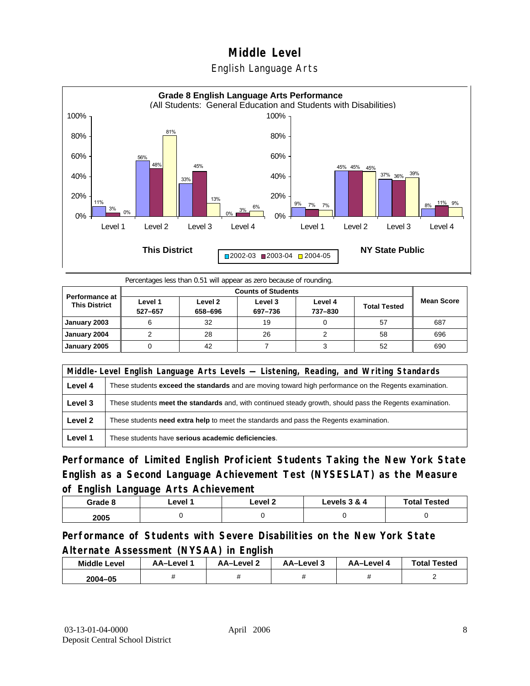



Percentages less than 0.51 will appear as zero because of rounding.

| <b>Performance at</b><br><b>This District</b> | Level 1<br>527-657 | Level 2<br>658-696 | Level 3<br>697-736 | Level 4<br>737-830 | <b>Total Tested</b> | <b>Mean Score</b> |
|-----------------------------------------------|--------------------|--------------------|--------------------|--------------------|---------------------|-------------------|
| January 2003                                  | 6                  | 32                 | 19                 |                    | 57                  | 687               |
| January 2004                                  |                    | 28                 | 26                 |                    | 58                  | 696               |
| January 2005                                  |                    | 42                 |                    |                    | 52                  | 690               |

|         | Middle-Level English Language Arts Levels — Listening, Reading, and Writing Standards                     |  |  |  |  |
|---------|-----------------------------------------------------------------------------------------------------------|--|--|--|--|
| Level 4 | These students exceed the standards and are moving toward high performance on the Regents examination.    |  |  |  |  |
| Level 3 | These students meet the standards and, with continued steady growth, should pass the Regents examination. |  |  |  |  |
| Level 2 | These students need extra help to meet the standards and pass the Regents examination.                    |  |  |  |  |
| Level 1 | These students have serious academic deficiencies.                                                        |  |  |  |  |

**Performance of Limited English Proficient Students Taking the New York State English as a Second Language Achievement Test (NYSESLAT) as the Measure of English Language Arts Achievement**

| Grade 8 | ∟evel <i>*</i> | _evel 2 | Levels 3 & 4 | <b>Total Tested</b> |
|---------|----------------|---------|--------------|---------------------|
| 2005    |                |         |              |                     |

**Performance of Students with Severe Disabilities on the New York State Alternate Assessment (NYSAA) in English** 

| <b>Middle Level</b> | AA–Level | AA-Level 2 | AA-Level 3 | AA-Level 4 | <b>Total Tested</b> |
|---------------------|----------|------------|------------|------------|---------------------|
| $2004 - 05$         |          |            |            |            |                     |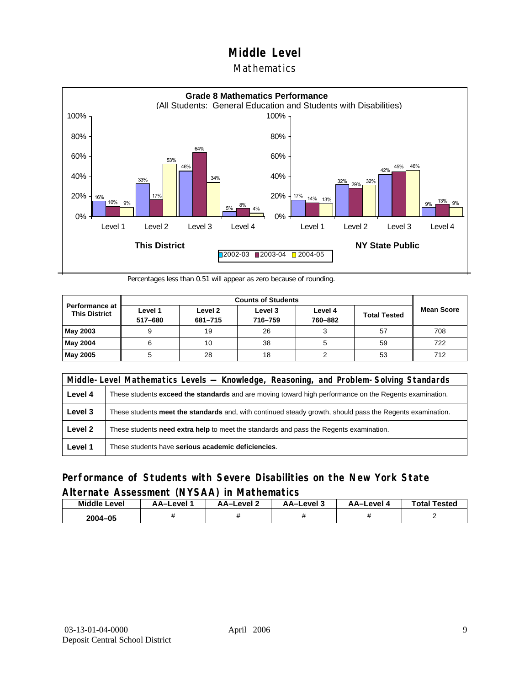#### Mathematics



Percentages less than 0.51 will appear as zero because of rounding.

|                                                 |                    | <b>Counts of Students</b> |                    |                    |                     |                   |  |  |  |
|-------------------------------------------------|--------------------|---------------------------|--------------------|--------------------|---------------------|-------------------|--|--|--|
| <b>Performance at I</b><br><b>This District</b> | Level 1<br>517-680 | Level 2<br>681-715        | Level 3<br>716-759 | Level 4<br>760-882 | <b>Total Tested</b> | <b>Mean Score</b> |  |  |  |
| May 2003                                        |                    | 19                        | 26                 |                    | 57                  | 708               |  |  |  |
| May 2004                                        |                    | 10                        | 38                 | 5                  | 59                  | 722               |  |  |  |
| May 2005                                        |                    | 28                        | 18                 |                    | 53                  | 712               |  |  |  |

|         | Middle-Level Mathematics Levels — Knowledge, Reasoning, and Problem-Solving Standards                         |  |  |  |  |
|---------|---------------------------------------------------------------------------------------------------------------|--|--|--|--|
| Level 4 | These students <b>exceed the standards</b> and are moving toward high performance on the Regents examination. |  |  |  |  |
| Level 3 | These students meet the standards and, with continued steady growth, should pass the Regents examination.     |  |  |  |  |
| Level 2 | These students need extra help to meet the standards and pass the Regents examination.                        |  |  |  |  |
| Level 1 | These students have serious academic deficiencies.                                                            |  |  |  |  |

### **Performance of Students with Severe Disabilities on the New York State Alternate Assessment (NYSAA) in Mathematics**

| <b>Middle Level</b> | AA-Level | AA-Level 2 | AA-Level 3 | AA–Level 4 | <b>Total Tested</b> |
|---------------------|----------|------------|------------|------------|---------------------|
| 2004-05             |          |            |            |            |                     |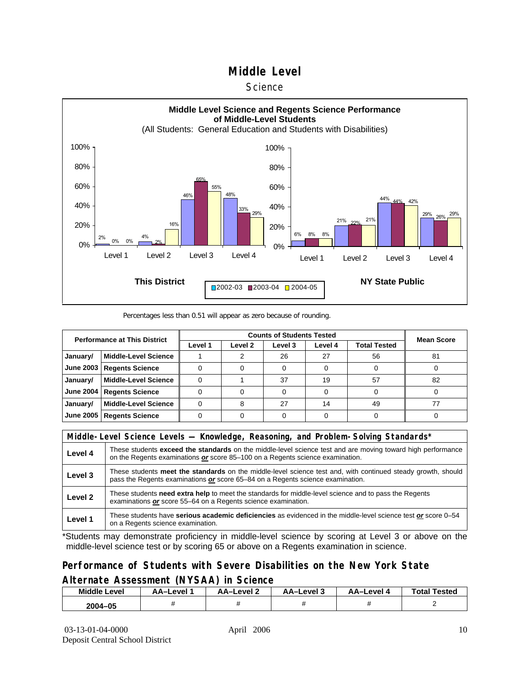#### **Science**



#### Percentages less than 0.51 will appear as zero because of rounding.

| <b>Performance at This District</b> |                             |         | <b>Mean Score</b>  |         |         |              |    |
|-------------------------------------|-----------------------------|---------|--------------------|---------|---------|--------------|----|
|                                     |                             | Level 1 | Level <sub>2</sub> | Level 3 | Level 4 | Total Tested |    |
| January/                            | <b>Middle-Level Science</b> |         |                    | 26      | 27      | 56           | 81 |
| <b>June 2003</b>                    | <b>Regents Science</b>      |         |                    |         |         |              |    |
| January/                            | <b>Middle-Level Science</b> |         |                    | 37      | 19      | 57           | 82 |
| <b>June 2004</b>                    | <b>Regents Science</b>      |         |                    |         |         |              |    |
| January/                            | <b>Middle-Level Science</b> |         |                    | 27      | 14      | 49           |    |
| <b>June 2005</b>                    | <b>Regents Science</b>      |         |                    |         |         |              |    |

|                    | Middle-Level Science Levels — Knowledge, Reasoning, and Problem-Solving Standards*                                                                                                             |  |  |  |  |
|--------------------|------------------------------------------------------------------------------------------------------------------------------------------------------------------------------------------------|--|--|--|--|
| Level 4            | These students exceed the standards on the middle-level science test and are moving toward high performance<br>on the Regents examinations or score 85-100 on a Regents science examination.   |  |  |  |  |
| Level 3            | These students meet the standards on the middle-level science test and, with continued steady growth, should<br>pass the Regents examinations or score 65–84 on a Regents science examination. |  |  |  |  |
| Level <sub>2</sub> | These students need extra help to meet the standards for middle-level science and to pass the Regents<br>examinations or score 55-64 on a Regents science examination.                         |  |  |  |  |
| Level 1            | These students have serious academic deficiencies as evidenced in the middle-level science test or score 0–54<br>on a Regents science examination.                                             |  |  |  |  |

\*Students may demonstrate proficiency in middle-level science by scoring at Level 3 or above on the middle-level science test or by scoring 65 or above on a Regents examination in science.

#### **Performance of Students with Severe Disabilities on the New York State Alternate Assessment (NYSAA) in Science**

| Middle L<br>_evel | <b>AA–Level</b> | AA-Level 2 | AA-Level 3 | AA–Level | <b>Tested</b><br>Total |
|-------------------|-----------------|------------|------------|----------|------------------------|
| 2004-05           |                 |            |            |          |                        |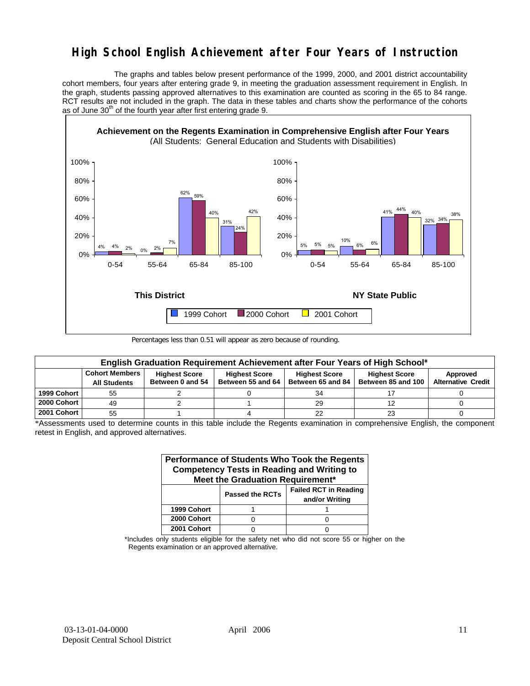## **High School English Achievement after Four Years of Instruction**

 The graphs and tables below present performance of the 1999, 2000, and 2001 district accountability cohort members, four years after entering grade 9, in meeting the graduation assessment requirement in English. In the graph, students passing approved alternatives to this examination are counted as scoring in the 65 to 84 range. RCT results are not included in the graph. The data in these tables and charts show the performance of the cohorts as of June  $30<sup>th</sup>$  of the fourth year after first entering grade 9.



Percentages less than 0.51 will appear as zero because of rounding.

|             | English Graduation Requirement Achievement after Four Years of High School* |                                          |                                           |                                           |                                            |                                       |  |  |  |  |  |  |
|-------------|-----------------------------------------------------------------------------|------------------------------------------|-------------------------------------------|-------------------------------------------|--------------------------------------------|---------------------------------------|--|--|--|--|--|--|
|             | <b>Cohort Members</b><br><b>All Students</b>                                | <b>Highest Score</b><br>Between 0 and 54 | <b>Highest Score</b><br>Between 55 and 64 | <b>Highest Score</b><br>Between 65 and 84 | <b>Highest Score</b><br>Between 85 and 100 | Approved<br><b>Alternative Credit</b> |  |  |  |  |  |  |
| 1999 Cohort | 55                                                                          |                                          |                                           | 34                                        |                                            |                                       |  |  |  |  |  |  |
| 2000 Cohort | 49                                                                          |                                          |                                           | 29                                        |                                            |                                       |  |  |  |  |  |  |
| 2001 Cohort | 55                                                                          |                                          |                                           | 22                                        | 23                                         |                                       |  |  |  |  |  |  |

\*Assessments used to determine counts in this table include the Regents examination in comprehensive English, the component retest in English, and approved alternatives.

| Performance of Students Who Took the Regents<br><b>Competency Tests in Reading and Writing to</b><br>Meet the Graduation Requirement* |                        |                                                |  |  |  |  |  |  |  |
|---------------------------------------------------------------------------------------------------------------------------------------|------------------------|------------------------------------------------|--|--|--|--|--|--|--|
|                                                                                                                                       | <b>Passed the RCTs</b> | <b>Failed RCT in Reading</b><br>and/or Writing |  |  |  |  |  |  |  |
| 1999 Cohort                                                                                                                           |                        |                                                |  |  |  |  |  |  |  |
| 2000 Cohort                                                                                                                           |                        |                                                |  |  |  |  |  |  |  |
| 2001 Cohort                                                                                                                           |                        |                                                |  |  |  |  |  |  |  |

\*Includes only students eligible for the safety net who did not score 55 or higher on the Regents examination or an approved alternative.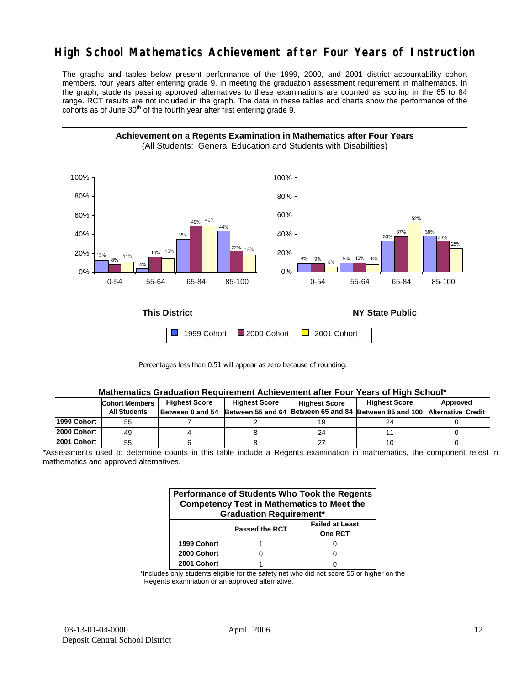## **High School Mathematics Achievement after Four Years of Instruction**

The graphs and tables below present performance of the 1999, 2000, and 2001 district accountability cohort members, four years after entering grade 9, in meeting the graduation assessment requirement in mathematics. In the graph, students passing approved alternatives to these examinations are counted as scoring in the 65 to 84 range. RCT results are not included in the graph. The data in these tables and charts show the performance of the cohorts as of June  $30<sup>th</sup>$  of the fourth year after first entering grade 9.



Percentages less than 0.51 will appear as zero because of rounding.

|             | Mathematics Graduation Requirement Achievement after Four Years of High School* |  |                                              |    |                                                         |          |  |  |  |  |  |
|-------------|---------------------------------------------------------------------------------|--|----------------------------------------------|----|---------------------------------------------------------|----------|--|--|--|--|--|
|             | <b>Highest Score</b><br><b>Cohort Members</b>                                   |  | <b>Highest Score</b><br><b>Highest Score</b> |    | <b>Highest Score</b>                                    | Approved |  |  |  |  |  |
|             | <b>All Students</b>                                                             |  | Between 0 and 54 Between 55 and 64           |    | Between 65 and 84 Between 85 and 100 Alternative Credit |          |  |  |  |  |  |
| 1999 Cohort | 55                                                                              |  |                                              | 19 | 24                                                      |          |  |  |  |  |  |
| 2000 Cohort | 49                                                                              |  |                                              | 24 |                                                         |          |  |  |  |  |  |
| 2001 Cohort | 55                                                                              |  |                                              | 27 | 10                                                      |          |  |  |  |  |  |

\*Assessments used to determine counts in this table include a Regents examination in mathematics, the component retest in mathematics and approved alternatives.

| Performance of Students Who Took the Regents<br><b>Competency Test in Mathematics to Meet the</b><br><b>Graduation Requirement*</b> |                       |                                          |  |  |  |  |  |  |
|-------------------------------------------------------------------------------------------------------------------------------------|-----------------------|------------------------------------------|--|--|--|--|--|--|
|                                                                                                                                     | <b>Passed the RCT</b> | <b>Failed at Least</b><br><b>One RCT</b> |  |  |  |  |  |  |
| 1999 Cohort                                                                                                                         |                       |                                          |  |  |  |  |  |  |
| 2000 Cohort                                                                                                                         |                       |                                          |  |  |  |  |  |  |
| 2001 Cohort                                                                                                                         |                       |                                          |  |  |  |  |  |  |

\*Includes only students eligible for the safety net who did not score 55 or higher on the Regents examination or an approved alternative.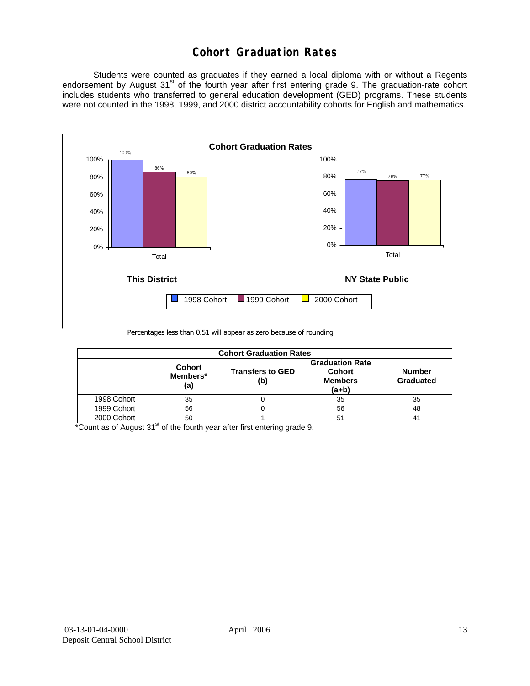## **Cohort Graduation Rates**

 Students were counted as graduates if they earned a local diploma with or without a Regents endorsement by August 31<sup>st</sup> of the fourth year after first entering grade 9. The graduation-rate cohort includes students who transferred to general education development (GED) programs. These students were not counted in the 1998, 1999, and 2000 district accountability cohorts for English and mathematics.



Percentages less than 0.51 will appear as zero because of rounding.

| <b>Cohort Graduation Rates</b> |                                  |                                |                                                                      |                            |  |  |  |  |  |  |
|--------------------------------|----------------------------------|--------------------------------|----------------------------------------------------------------------|----------------------------|--|--|--|--|--|--|
|                                | <b>Cohort</b><br>Members*<br>(a) | <b>Transfers to GED</b><br>(b) | <b>Graduation Rate</b><br><b>Cohort</b><br><b>Members</b><br>$(a+b)$ | <b>Number</b><br>Graduated |  |  |  |  |  |  |
| 1998 Cohort                    | 35                               |                                | 35                                                                   | 35                         |  |  |  |  |  |  |
| 1999 Cohort                    | 56                               |                                | 56                                                                   | 48                         |  |  |  |  |  |  |
| 2000 Cohort                    | 50                               |                                | 51                                                                   | 41                         |  |  |  |  |  |  |

 $*$ Count as of August 31 $*$  of the fourth year after first entering grade 9.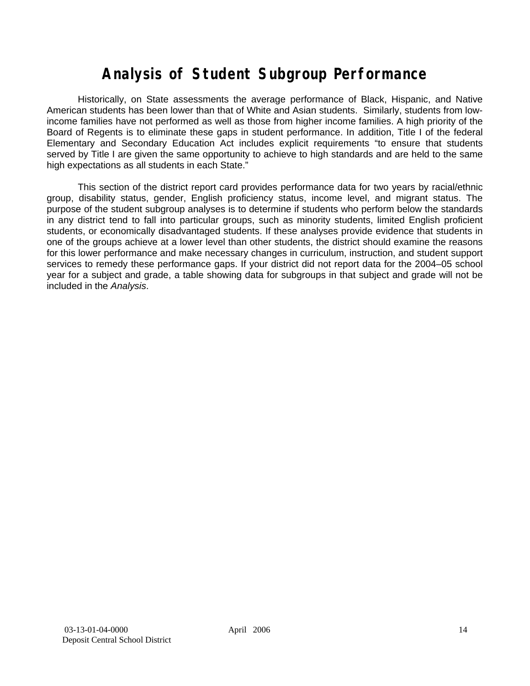# **Analysis of Student Subgroup Performance**

Historically, on State assessments the average performance of Black, Hispanic, and Native American students has been lower than that of White and Asian students. Similarly, students from lowincome families have not performed as well as those from higher income families. A high priority of the Board of Regents is to eliminate these gaps in student performance. In addition, Title I of the federal Elementary and Secondary Education Act includes explicit requirements "to ensure that students served by Title I are given the same opportunity to achieve to high standards and are held to the same high expectations as all students in each State."

This section of the district report card provides performance data for two years by racial/ethnic group, disability status, gender, English proficiency status, income level, and migrant status. The purpose of the student subgroup analyses is to determine if students who perform below the standards in any district tend to fall into particular groups, such as minority students, limited English proficient students, or economically disadvantaged students. If these analyses provide evidence that students in one of the groups achieve at a lower level than other students, the district should examine the reasons for this lower performance and make necessary changes in curriculum, instruction, and student support services to remedy these performance gaps. If your district did not report data for the 2004–05 school year for a subject and grade, a table showing data for subgroups in that subject and grade will not be included in the *Analysis*.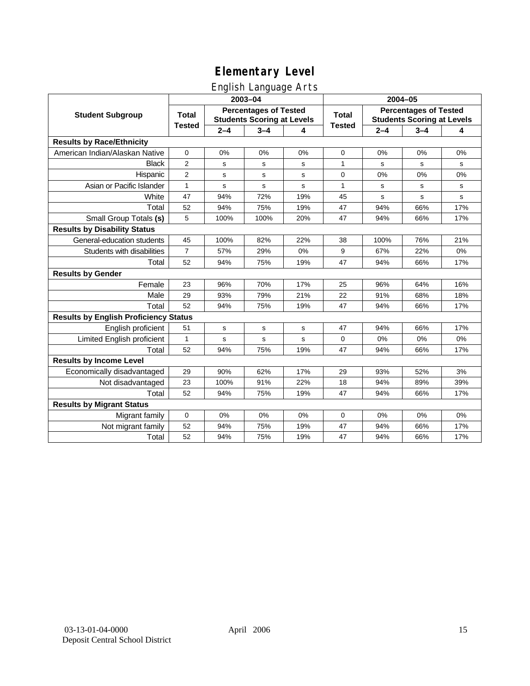## English Language Arts

|                                              |                |             | ັ<br>2003-04                                                      |     | $2004 - 05$   |         |                                                                   |             |
|----------------------------------------------|----------------|-------------|-------------------------------------------------------------------|-----|---------------|---------|-------------------------------------------------------------------|-------------|
| <b>Student Subgroup</b>                      | <b>Total</b>   |             | <b>Percentages of Tested</b><br><b>Students Scoring at Levels</b> |     | <b>Total</b>  |         | <b>Percentages of Tested</b><br><b>Students Scoring at Levels</b> |             |
|                                              | <b>Tested</b>  | $2 - 4$     | $3 - 4$                                                           | 4   | <b>Tested</b> | $2 - 4$ | $3 - 4$                                                           | 4           |
| <b>Results by Race/Ethnicity</b>             |                |             |                                                                   |     |               |         |                                                                   |             |
| American Indian/Alaskan Native               | 0              | 0%          | 0%                                                                | 0%  | $\mathbf 0$   | 0%      | 0%                                                                | 0%          |
| <b>Black</b>                                 | $\overline{2}$ | s           | s                                                                 | s   | 1             | s       | s                                                                 | s           |
| Hispanic                                     | $\overline{2}$ | s           | s                                                                 | s   | 0             | 0%      | 0%                                                                | 0%          |
| Asian or Pacific Islander                    | 1              | $\mathbf S$ | $\mathbf s$                                                       | s   | 1             | s       | s                                                                 | s           |
| White                                        | 47             | 94%         | 72%                                                               | 19% | 45            | s       | s                                                                 | $\mathbf s$ |
| Total                                        | 52             | 94%         | 75%                                                               | 19% | 47            | 94%     | 66%                                                               | 17%         |
| Small Group Totals (s)                       | 5              | 100%        | 100%                                                              | 20% | 47            | 94%     | 66%                                                               | 17%         |
| <b>Results by Disability Status</b>          |                |             |                                                                   |     |               |         |                                                                   |             |
| General-education students                   | 45             | 100%        | 82%                                                               | 22% | 38            | 100%    | 76%                                                               | 21%         |
| Students with disabilities                   | $\overline{7}$ | 57%         | 29%                                                               | 0%  | 9             | 67%     | 22%                                                               | 0%          |
| Total                                        | 52             | 94%         | 75%                                                               | 19% | 47            | 94%     | 66%                                                               | 17%         |
| <b>Results by Gender</b>                     |                |             |                                                                   |     |               |         |                                                                   |             |
| Female                                       | 23             | 96%         | 70%                                                               | 17% | 25            | 96%     | 64%                                                               | 16%         |
| Male                                         | 29             | 93%         | 79%                                                               | 21% | 22            | 91%     | 68%                                                               | 18%         |
| Total                                        | 52             | 94%         | 75%                                                               | 19% | 47            | 94%     | 66%                                                               | 17%         |
| <b>Results by English Proficiency Status</b> |                |             |                                                                   |     |               |         |                                                                   |             |
| English proficient                           | 51             | s           | s                                                                 | s   | 47            | 94%     | 66%                                                               | 17%         |
| Limited English proficient                   | $\mathbf{1}$   | s           | s                                                                 | s   | 0             | 0%      | 0%                                                                | 0%          |
| Total                                        | 52             | 94%         | 75%                                                               | 19% | 47            | 94%     | 66%                                                               | 17%         |
| <b>Results by Income Level</b>               |                |             |                                                                   |     |               |         |                                                                   |             |
| Economically disadvantaged                   | 29             | 90%         | 62%                                                               | 17% | 29            | 93%     | 52%                                                               | 3%          |
| Not disadvantaged                            | 23             | 100%        | 91%                                                               | 22% | 18            | 94%     | 89%                                                               | 39%         |
| Total                                        | 52             | 94%         | 75%                                                               | 19% | 47            | 94%     | 66%                                                               | 17%         |
| <b>Results by Migrant Status</b>             |                |             |                                                                   |     |               |         |                                                                   |             |
| Migrant family                               | $\mathbf 0$    | 0%          | 0%                                                                | 0%  | 0             | 0%      | 0%                                                                | 0%          |
| Not migrant family                           | 52             | 94%         | 75%                                                               | 19% | 47            | 94%     | 66%                                                               | 17%         |
| Total                                        | 52             | 94%         | 75%                                                               | 19% | 47            | 94%     | 66%                                                               | 17%         |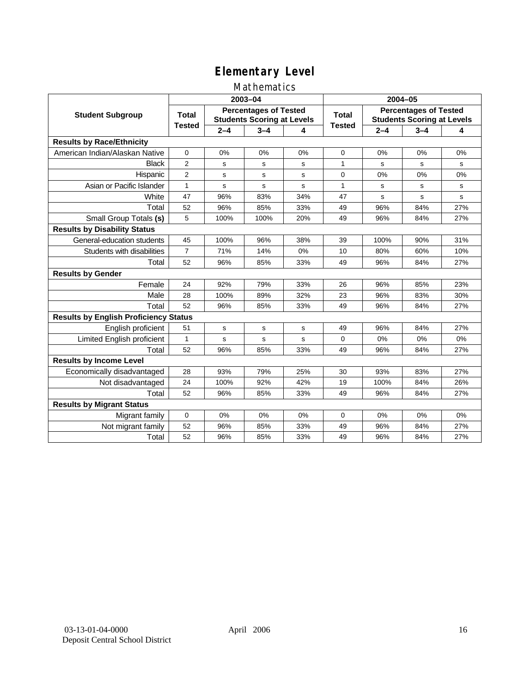### Mathematics

|                                              |                |         | 2003-04                                                           |             | 2004-05       |             |                                                                   |           |
|----------------------------------------------|----------------|---------|-------------------------------------------------------------------|-------------|---------------|-------------|-------------------------------------------------------------------|-----------|
| <b>Student Subgroup</b>                      | <b>Total</b>   |         | <b>Percentages of Tested</b><br><b>Students Scoring at Levels</b> |             | Total         |             | <b>Percentages of Tested</b><br><b>Students Scoring at Levels</b> |           |
|                                              | <b>Tested</b>  | $2 - 4$ | $3 - 4$                                                           | 4           | <b>Tested</b> | $2 - 4$     | $3 - 4$                                                           | 4         |
| <b>Results by Race/Ethnicity</b>             |                |         |                                                                   |             |               |             |                                                                   |           |
| American Indian/Alaskan Native               | $\mathbf{0}$   | 0%      | 0%                                                                | 0%          | $\mathbf 0$   | 0%          | 0%                                                                | 0%        |
| <b>Black</b>                                 | 2              | s       | s                                                                 | s           | 1             | s           | s                                                                 | s         |
| Hispanic                                     | $\overline{2}$ | s       | s                                                                 | s           | 0             | 0%          | 0%                                                                | 0%        |
| Asian or Pacific Islander                    | $\mathbf{1}$   | s       | s                                                                 | S           | $\mathbf{1}$  | s           | s                                                                 | s         |
| White                                        | 47             | 96%     | 83%                                                               | 34%         | 47            | $\mathbf s$ | $\mathbf s$                                                       | ${\tt s}$ |
| Total                                        | 52             | 96%     | 85%                                                               | 33%         | 49            | 96%         | 84%                                                               | 27%       |
| Small Group Totals (s)                       | 5              | 100%    | 100%                                                              | 20%         | 49            | 96%         | 84%                                                               | 27%       |
| <b>Results by Disability Status</b>          |                |         |                                                                   |             |               |             |                                                                   |           |
| General-education students                   | 45             | 100%    | 96%                                                               | 38%         | 39            | 100%        | 90%                                                               | 31%       |
| Students with disabilities                   | $\overline{7}$ | 71%     | 14%                                                               | 0%          | 10            | 80%         | 60%                                                               | 10%       |
| Total                                        | 52             | 96%     | 85%                                                               | 33%         | 49            | 96%         | 84%                                                               | 27%       |
| <b>Results by Gender</b>                     |                |         |                                                                   |             |               |             |                                                                   |           |
| Female                                       | 24             | 92%     | 79%                                                               | 33%         | 26            | 96%         | 85%                                                               | 23%       |
| Male                                         | 28             | 100%    | 89%                                                               | 32%         | 23            | 96%         | 83%                                                               | 30%       |
| Total                                        | 52             | 96%     | 85%                                                               | 33%         | 49            | 96%         | 84%                                                               | 27%       |
| <b>Results by English Proficiency Status</b> |                |         |                                                                   |             |               |             |                                                                   |           |
| English proficient                           | 51             | s       | ${\bf s}$                                                         | $\mathbf s$ | 49            | 96%         | 84%                                                               | 27%       |
| Limited English proficient                   | $\mathbf{1}$   | s       | s                                                                 | S           | 0             | 0%          | 0%                                                                | 0%        |
| Total                                        | 52             | 96%     | 85%                                                               | 33%         | 49            | 96%         | 84%                                                               | 27%       |
| <b>Results by Income Level</b>               |                |         |                                                                   |             |               |             |                                                                   |           |
| Economically disadvantaged                   | 28             | 93%     | 79%                                                               | 25%         | 30            | 93%         | 83%                                                               | 27%       |
| Not disadvantaged                            | 24             | 100%    | 92%                                                               | 42%         | 19            | 100%        | 84%                                                               | 26%       |
| Total                                        | 52             | 96%     | 85%                                                               | 33%         | 49            | 96%         | 84%                                                               | 27%       |
| <b>Results by Migrant Status</b>             |                |         |                                                                   |             |               |             |                                                                   |           |
| Migrant family                               | 0              | 0%      | 0%                                                                | 0%          | 0             | 0%          | 0%                                                                | 0%        |
| Not migrant family                           | 52             | 96%     | 85%                                                               | 33%         | 49            | 96%         | 84%                                                               | 27%       |
| Total                                        | 52             | 96%     | 85%                                                               | 33%         | 49            | 96%         | 84%                                                               | 27%       |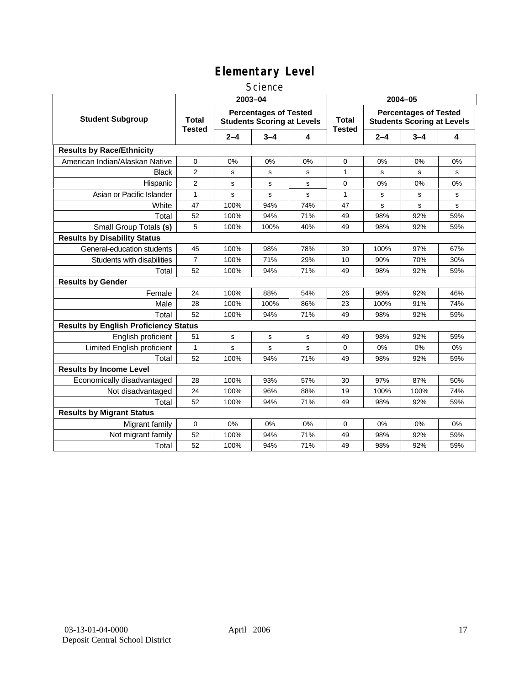#### **Science**

|                                              |                        |         | 2003-04                                                           |             | 2004-05                       |         |                                                                   |       |  |
|----------------------------------------------|------------------------|---------|-------------------------------------------------------------------|-------------|-------------------------------|---------|-------------------------------------------------------------------|-------|--|
| <b>Student Subgroup</b>                      | Total<br><b>Tested</b> |         | <b>Percentages of Tested</b><br><b>Students Scoring at Levels</b> |             | <b>Total</b><br><b>Tested</b> |         | <b>Percentages of Tested</b><br><b>Students Scoring at Levels</b> |       |  |
|                                              |                        | $2 - 4$ | $3 - 4$                                                           | 4           |                               | $2 - 4$ | $3 - 4$                                                           | 4     |  |
| <b>Results by Race/Ethnicity</b>             |                        |         |                                                                   |             |                               |         |                                                                   |       |  |
| American Indian/Alaskan Native               | 0                      | 0%      | 0%                                                                | 0%          | $\mathbf 0$                   | 0%      | 0%                                                                | 0%    |  |
| <b>Black</b>                                 | $\overline{2}$         | s       | s                                                                 | s           | $\mathbf{1}$                  | s       | s                                                                 | s     |  |
| Hispanic                                     | $\overline{2}$         | s       | s                                                                 | s           | $\mathbf 0$                   | 0%      | 0%                                                                | 0%    |  |
| Asian or Pacific Islander                    | $\mathbf{1}$           | s       | s                                                                 | s           | 1                             | s       | s                                                                 | s     |  |
| White                                        | 47                     | 100%    | 94%                                                               | 74%         | 47                            | s       | s                                                                 | s     |  |
| Total                                        | 52                     | 100%    | 94%                                                               | 71%         | 49                            | 98%     | 92%                                                               | 59%   |  |
| Small Group Totals (s)                       | 5                      | 100%    | 100%                                                              | 40%         | 49                            | 98%     | 92%                                                               | 59%   |  |
| <b>Results by Disability Status</b>          |                        |         |                                                                   |             |                               |         |                                                                   |       |  |
| General-education students                   | 45                     | 100%    | 98%                                                               | 78%         | 39                            | 100%    | 97%                                                               | 67%   |  |
| Students with disabilities                   | $\overline{7}$         | 100%    | 71%                                                               | 29%         | 10                            | 90%     | 70%                                                               | 30%   |  |
| Total                                        | 52                     | 100%    | 94%                                                               | 71%         | 49                            | 98%     | 92%                                                               | 59%   |  |
| <b>Results by Gender</b>                     |                        |         |                                                                   |             |                               |         |                                                                   |       |  |
| Female                                       | 24                     | 100%    | 88%                                                               | 54%         | 26                            | 96%     | 92%                                                               | 46%   |  |
| Male                                         | 28                     | 100%    | 100%                                                              | 86%         | 23                            | 100%    | 91%                                                               | 74%   |  |
| Total                                        | 52                     | 100%    | 94%                                                               | 71%         | 49                            | 98%     | 92%                                                               | 59%   |  |
| <b>Results by English Proficiency Status</b> |                        |         |                                                                   |             |                               |         |                                                                   |       |  |
| English proficient                           | 51                     | s       | s                                                                 | $\mathbf s$ | 49                            | 98%     | 92%                                                               | 59%   |  |
| Limited English proficient                   | $\mathbf{1}$           | s       | s                                                                 | $\mathbf s$ | $\mathbf 0$                   | 0%      | 0%                                                                | 0%    |  |
| Total                                        | 52                     | 100%    | 94%                                                               | 71%         | 49                            | 98%     | 92%                                                               | 59%   |  |
| <b>Results by Income Level</b>               |                        |         |                                                                   |             |                               |         |                                                                   |       |  |
| Economically disadvantaged                   | 28                     | 100%    | 93%                                                               | 57%         | 30                            | 97%     | 87%                                                               | 50%   |  |
| Not disadvantaged                            | 24                     | 100%    | 96%                                                               | 88%         | 19                            | 100%    | 100%                                                              | 74%   |  |
| Total                                        | 52                     | 100%    | 94%                                                               | 71%         | 49                            | 98%     | 92%                                                               | 59%   |  |
| <b>Results by Migrant Status</b>             |                        |         |                                                                   |             |                               |         |                                                                   |       |  |
| Migrant family                               | 0                      | 0%      | 0%                                                                | 0%          | 0                             | 0%      | 0%                                                                | $0\%$ |  |
| Not migrant family                           | 52                     | 100%    | 94%                                                               | 71%         | 49                            | 98%     | 92%                                                               | 59%   |  |
| Total                                        | 52                     | 100%    | 94%                                                               | 71%         | 49                            | 98%     | 92%                                                               | 59%   |  |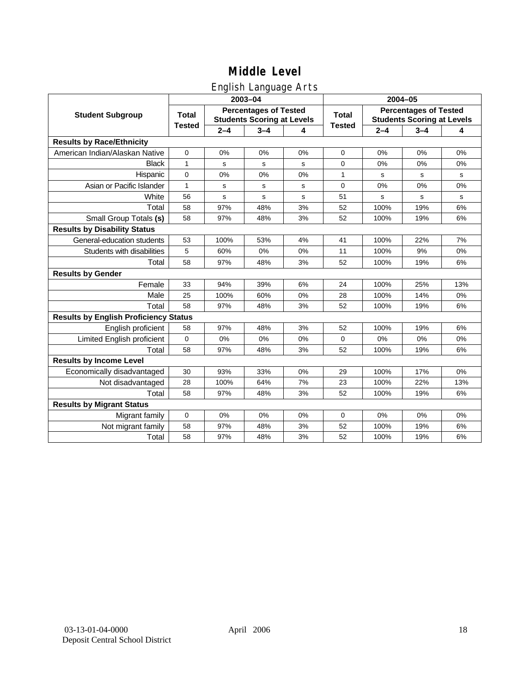## English Language Arts

|                                              |               |         | ັ<br>2003-04                                                      |             | 2004-05       |             |                                                                   |       |  |
|----------------------------------------------|---------------|---------|-------------------------------------------------------------------|-------------|---------------|-------------|-------------------------------------------------------------------|-------|--|
| <b>Student Subgroup</b>                      | <b>Total</b>  |         | <b>Percentages of Tested</b><br><b>Students Scoring at Levels</b> |             | <b>Total</b>  |             | <b>Percentages of Tested</b><br><b>Students Scoring at Levels</b> |       |  |
|                                              | <b>Tested</b> | $2 - 4$ | $3 - 4$                                                           | 4           | <b>Tested</b> | $2 - 4$     | $3 - 4$                                                           | 4     |  |
| <b>Results by Race/Ethnicity</b>             |               |         |                                                                   |             |               |             |                                                                   |       |  |
| American Indian/Alaskan Native               | $\mathbf 0$   | 0%      | 0%                                                                | 0%          | $\mathbf 0$   | 0%          | 0%                                                                | 0%    |  |
| <b>Black</b>                                 | $\mathbf{1}$  | s       | $\mathbf s$                                                       | s           | 0             | 0%          | 0%                                                                | 0%    |  |
| Hispanic                                     | $\mathbf 0$   | 0%      | 0%                                                                | 0%          | $\mathbf{1}$  | s           | s                                                                 | s     |  |
| Asian or Pacific Islander                    | $\mathbf{1}$  | s       | s                                                                 | s           | 0             | 0%          | 0%                                                                | 0%    |  |
| White                                        | 56            | s       | $\mathbf s$                                                       | $\mathbf s$ | 51            | $\mathbf s$ | $\mathbf s$                                                       | s     |  |
| Total                                        | 58            | 97%     | 48%                                                               | 3%          | 52            | 100%        | 19%                                                               | 6%    |  |
| Small Group Totals (s)                       | 58            | 97%     | 48%                                                               | 3%          | 52            | 100%        | 19%                                                               | 6%    |  |
| <b>Results by Disability Status</b>          |               |         |                                                                   |             |               |             |                                                                   |       |  |
| General-education students                   | 53            | 100%    | 53%                                                               | 4%          | 41            | 100%        | 22%                                                               | 7%    |  |
| Students with disabilities                   | 5             | 60%     | 0%                                                                | 0%          | 11            | 100%        | 9%                                                                | $0\%$ |  |
| Total                                        | 58            | 97%     | 48%                                                               | 3%          | 52            | 100%        | 19%                                                               | 6%    |  |
| <b>Results by Gender</b>                     |               |         |                                                                   |             |               |             |                                                                   |       |  |
| Female                                       | 33            | 94%     | 39%                                                               | 6%          | 24            | 100%        | 25%                                                               | 13%   |  |
| Male                                         | 25            | 100%    | 60%                                                               | 0%          | 28            | 100%        | 14%                                                               | 0%    |  |
| Total                                        | 58            | 97%     | 48%                                                               | 3%          | 52            | 100%        | 19%                                                               | 6%    |  |
| <b>Results by English Proficiency Status</b> |               |         |                                                                   |             |               |             |                                                                   |       |  |
| English proficient                           | 58            | 97%     | 48%                                                               | 3%          | 52            | 100%        | 19%                                                               | 6%    |  |
| Limited English proficient                   | $\mathbf 0$   | 0%      | 0%                                                                | 0%          | 0             | 0%          | 0%                                                                | 0%    |  |
| Total                                        | 58            | 97%     | 48%                                                               | 3%          | 52            | 100%        | 19%                                                               | 6%    |  |
| <b>Results by Income Level</b>               |               |         |                                                                   |             |               |             |                                                                   |       |  |
| Economically disadvantaged                   | 30            | 93%     | 33%                                                               | 0%          | 29            | 100%        | 17%                                                               | 0%    |  |
| Not disadvantaged                            | 28            | 100%    | 64%                                                               | 7%          | 23            | 100%        | 22%                                                               | 13%   |  |
| Total                                        | 58            | 97%     | 48%                                                               | 3%          | 52            | 100%        | 19%                                                               | 6%    |  |
| <b>Results by Migrant Status</b>             |               |         |                                                                   |             |               |             |                                                                   |       |  |
| Migrant family                               | $\mathbf 0$   | 0%      | 0%                                                                | 0%          | 0             | 0%          | 0%                                                                | 0%    |  |
| Not migrant family                           | 58            | 97%     | 48%                                                               | 3%          | 52            | 100%        | 19%                                                               | 6%    |  |
| Total                                        | 58            | 97%     | 48%                                                               | 3%          | 52            | 100%        | 19%                                                               | 6%    |  |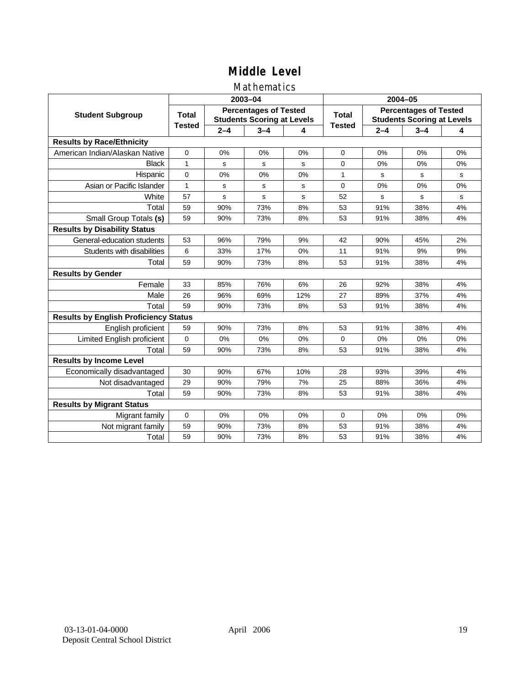### Mathematics

|                                              |               |         | 2003-04                                                           |     | 2004-05       |         |                                                                   |    |
|----------------------------------------------|---------------|---------|-------------------------------------------------------------------|-----|---------------|---------|-------------------------------------------------------------------|----|
| <b>Student Subgroup</b>                      | <b>Total</b>  |         | <b>Percentages of Tested</b><br><b>Students Scoring at Levels</b> |     | Total         |         | <b>Percentages of Tested</b><br><b>Students Scoring at Levels</b> |    |
|                                              | <b>Tested</b> | $2 - 4$ | $3 - 4$                                                           | 4   | <b>Tested</b> | $2 - 4$ | $3 - 4$                                                           | 4  |
| <b>Results by Race/Ethnicity</b>             |               |         |                                                                   |     |               |         |                                                                   |    |
| American Indian/Alaskan Native               | $\mathbf{0}$  | 0%      | 0%                                                                | 0%  | 0             | 0%      | 0%                                                                | 0% |
| <b>Black</b>                                 | 1             | s       | s                                                                 | s   | $\Omega$      | 0%      | 0%                                                                | 0% |
| Hispanic                                     | $\Omega$      | 0%      | 0%                                                                | 0%  | $\mathbf{1}$  | s       | s                                                                 | s  |
| Asian or Pacific Islander                    | 1             | s       | s                                                                 | s   | 0             | 0%      | 0%                                                                | 0% |
| White                                        | 57            | s       | $\mathbf s$                                                       | s   | 52            | s       | s                                                                 | s  |
| Total                                        | 59            | 90%     | 73%                                                               | 8%  | 53            | 91%     | 38%                                                               | 4% |
| Small Group Totals (s)                       | 59            | 90%     | 73%                                                               | 8%  | 53            | 91%     | 38%                                                               | 4% |
| <b>Results by Disability Status</b>          |               |         |                                                                   |     |               |         |                                                                   |    |
| General-education students                   | 53            | 96%     | 79%                                                               | 9%  | 42            | 90%     | 45%                                                               | 2% |
| Students with disabilities                   | 6             | 33%     | 17%                                                               | 0%  | 11            | 91%     | 9%                                                                | 9% |
| Total                                        | 59            | 90%     | 73%                                                               | 8%  | 53            | 91%     | 38%                                                               | 4% |
| <b>Results by Gender</b>                     |               |         |                                                                   |     |               |         |                                                                   |    |
| Female                                       | 33            | 85%     | 76%                                                               | 6%  | 26            | 92%     | 38%                                                               | 4% |
| Male                                         | 26            | 96%     | 69%                                                               | 12% | 27            | 89%     | 37%                                                               | 4% |
| Total                                        | 59            | 90%     | 73%                                                               | 8%  | 53            | 91%     | 38%                                                               | 4% |
| <b>Results by English Proficiency Status</b> |               |         |                                                                   |     |               |         |                                                                   |    |
| English proficient                           | 59            | 90%     | 73%                                                               | 8%  | 53            | 91%     | 38%                                                               | 4% |
| Limited English proficient                   | $\Omega$      | 0%      | 0%                                                                | 0%  | $\Omega$      | 0%      | 0%                                                                | 0% |
| Total                                        | 59            | 90%     | 73%                                                               | 8%  | 53            | 91%     | 38%                                                               | 4% |
| <b>Results by Income Level</b>               |               |         |                                                                   |     |               |         |                                                                   |    |
| Economically disadvantaged                   | 30            | 90%     | 67%                                                               | 10% | 28            | 93%     | 39%                                                               | 4% |
| Not disadvantaged                            | 29            | 90%     | 79%                                                               | 7%  | 25            | 88%     | 36%                                                               | 4% |
| Total                                        | 59            | 90%     | 73%                                                               | 8%  | 53            | 91%     | 38%                                                               | 4% |
| <b>Results by Migrant Status</b>             |               |         |                                                                   |     |               |         |                                                                   |    |
| Migrant family                               | 0             | 0%      | 0%                                                                | 0%  | 0             | 0%      | 0%                                                                | 0% |
| Not migrant family                           | 59            | 90%     | 73%                                                               | 8%  | 53            | 91%     | 38%                                                               | 4% |
| Total                                        | 59            | 90%     | 73%                                                               | 8%  | 53            | 91%     | 38%                                                               | 4% |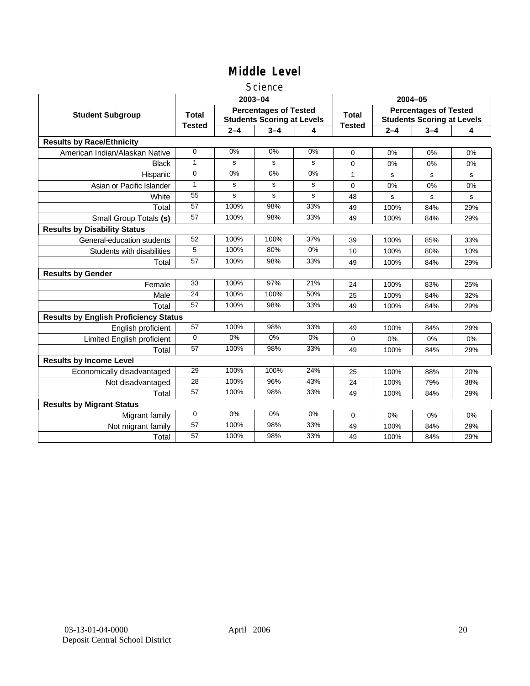#### **Science**

|                                              |                 |         | 2003-04                                                           |       | 2004-05       |             |                                                                   |     |
|----------------------------------------------|-----------------|---------|-------------------------------------------------------------------|-------|---------------|-------------|-------------------------------------------------------------------|-----|
| <b>Student Subgroup</b>                      | <b>Total</b>    |         | <b>Percentages of Tested</b><br><b>Students Scoring at Levels</b> |       | <b>Total</b>  |             | <b>Percentages of Tested</b><br><b>Students Scoring at Levels</b> |     |
|                                              | <b>Tested</b>   | $2 - 4$ | $3 - 4$                                                           | 4     | <b>Tested</b> | $2 - 4$     | $3 - 4$                                                           | 4   |
| <b>Results by Race/Ethnicity</b>             |                 |         |                                                                   |       |               |             |                                                                   |     |
| American Indian/Alaskan Native               | $\mathbf 0$     | 0%      | 0%                                                                | 0%    | $\Omega$      | 0%          | 0%                                                                | 0%  |
| <b>Black</b>                                 | 1               | s       | s                                                                 | s     | $\Omega$      | 0%          | 0%                                                                | 0%  |
| Hispanic                                     | $\mathbf 0$     | 0%      | 0%                                                                | 0%    | 1             | s           | s                                                                 | s   |
| Asian or Pacific Islander                    | $\mathbf{1}$    | s       | s                                                                 | s     | 0             | 0%          | 0%                                                                | 0%  |
| White                                        | 55              | s       | s                                                                 | s     | 48            | $\mathbf s$ | s                                                                 | s   |
| Total                                        | 57              | 100%    | 98%                                                               | 33%   | 49            | 100%        | 84%                                                               | 29% |
| Small Group Totals (s)                       | 57              | 100%    | 98%                                                               | 33%   | 49            | 100%        | 84%                                                               | 29% |
| <b>Results by Disability Status</b>          |                 |         |                                                                   |       |               |             |                                                                   |     |
| General-education students                   | 52              | 100%    | 100%                                                              | 37%   | 39            | 100%        | 85%                                                               | 33% |
| Students with disabilities                   | 5               | 100%    | 80%                                                               | $0\%$ | 10            | 100%        | 80%                                                               | 10% |
| Total                                        | 57              | 100%    | 98%                                                               | 33%   | 49            | 100%        | 84%                                                               | 29% |
| <b>Results by Gender</b>                     |                 |         |                                                                   |       |               |             |                                                                   |     |
| Female                                       | 33              | 100%    | 97%                                                               | 21%   | 24            | 100%        | 83%                                                               | 25% |
| Male                                         | 24              | 100%    | 100%                                                              | 50%   | 25            | 100%        | 84%                                                               | 32% |
| Total                                        | 57              | 100%    | 98%                                                               | 33%   | 49            | 100%        | 84%                                                               | 29% |
| <b>Results by English Proficiency Status</b> |                 |         |                                                                   |       |               |             |                                                                   |     |
| English proficient                           | 57              | 100%    | 98%                                                               | 33%   | 49            | 100%        | 84%                                                               | 29% |
| Limited English proficient                   | $\Omega$        | $0\%$   | 0%                                                                | $0\%$ | 0             | 0%          | 0%                                                                | 0%  |
| Total                                        | 57              | 100%    | 98%                                                               | 33%   | 49            | 100%        | 84%                                                               | 29% |
| <b>Results by Income Level</b>               |                 |         |                                                                   |       |               |             |                                                                   |     |
| Economically disadvantaged                   | 29              | 100%    | 100%                                                              | 24%   | 25            | 100%        | 88%                                                               | 20% |
| Not disadvantaged                            | 28              | 100%    | 96%                                                               | 43%   | 24            | 100%        | 79%                                                               | 38% |
| Total                                        | 57              | 100%    | 98%                                                               | 33%   | 49            | 100%        | 84%                                                               | 29% |
| <b>Results by Migrant Status</b>             |                 |         |                                                                   |       |               |             |                                                                   |     |
| Migrant family                               | $\mathbf 0$     | 0%      | 0%                                                                | 0%    | 0             | 0%          | 0%                                                                | 0%  |
| Not migrant family                           | $\overline{57}$ | 100%    | 98%                                                               | 33%   | 49            | 100%        | 84%                                                               | 29% |
| Total                                        | 57              | 100%    | 98%                                                               | 33%   | 49            | 100%        | 84%                                                               | 29% |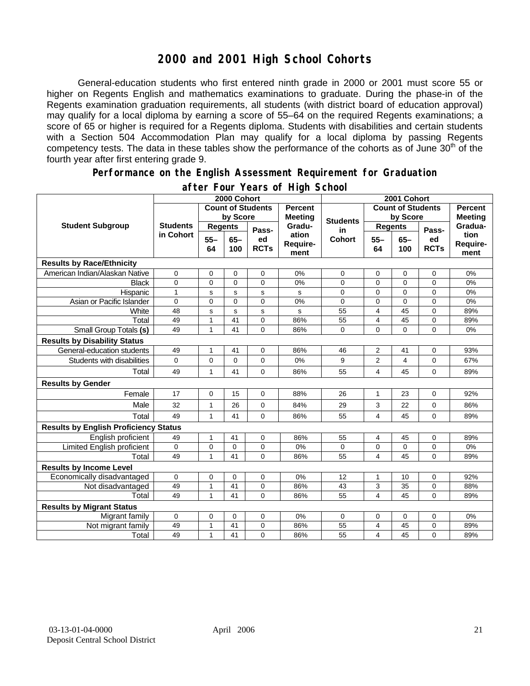## **2000 and 2001 High School Cohorts**

General-education students who first entered ninth grade in 2000 or 2001 must score 55 or higher on Regents English and mathematics examinations to graduate. During the phase-in of the Regents examination graduation requirements, all students (with district board of education approval) may qualify for a local diploma by earning a score of 55–64 on the required Regents examinations; a score of 65 or higher is required for a Regents diploma. Students with disabilities and certain students with a Section 504 Accommodation Plan may qualify for a local diploma by passing Regents competency tests. The data in these tables show the performance of the cohorts as of June  $30<sup>th</sup>$  of the fourth year after first entering grade 9.

#### **Performance on the English Assessment Requirement for Graduation**

|                                              | 2000 Cohort                  |                          |               |                   |                                  | 2001 Cohort              |                         |               |                   |                          |
|----------------------------------------------|------------------------------|--------------------------|---------------|-------------------|----------------------------------|--------------------------|-------------------------|---------------|-------------------|--------------------------|
| <b>Student Subgroup</b>                      |                              | <b>Count of Students</b> |               |                   | <b>Percent</b><br><b>Meeting</b> | <b>Count of Students</b> |                         |               |                   | <b>Percent</b>           |
|                                              | <b>Students</b><br>in Cohort | by Score                 |               |                   |                                  | <b>Students</b>          | by Score                |               | <b>Meeting</b>    |                          |
|                                              |                              | <b>Regents</b>           |               | Pass-             | Gradu-                           | in                       | <b>Regents</b>          |               | Pass-             | Gradua-                  |
|                                              |                              | $55 -$<br>64             | $65 -$<br>100 | ed<br><b>RCTs</b> | ation<br>Require-<br>ment        | <b>Cohort</b>            | $55 -$<br>64            | $65 -$<br>100 | ed<br><b>RCTs</b> | tion<br>Require-<br>ment |
| <b>Results by Race/Ethnicity</b>             |                              |                          |               |                   |                                  |                          |                         |               |                   |                          |
| American Indian/Alaskan Native               | 0                            | 0                        | $\mathbf 0$   | 0                 | 0%                               | 0                        | 0                       | $\mathbf 0$   | 0                 | 0%                       |
| <b>Black</b>                                 | $\Omega$                     | $\mathbf{0}$             | $\Omega$      | $\overline{0}$    | 0%                               | $\Omega$                 | $\mathbf{0}$            | $\Omega$      | $\overline{0}$    | 0%                       |
| Hispanic                                     | $\mathbf{1}$                 | S                        | s             | s                 | s                                | 0                        | 0                       | $\mathbf 0$   | 0                 | 0%                       |
| Asian or Pacific Islander                    | 0                            | $\mathbf 0$              | $\Omega$      | $\overline{0}$    | 0%                               | 0                        | $\mathbf 0$             | $\Omega$      | $\overline{0}$    | 0%                       |
| White                                        | 48                           | s                        | $\mathbf s$   | s                 | s                                | 55                       | $\overline{4}$          | 45            | 0                 | 89%                      |
| Total                                        | 49                           | $\mathbf{1}$             | 41            | 0                 | 86%                              | 55                       | $\overline{\mathbf{4}}$ | 45            | 0                 | 89%                      |
| Small Group Totals (s)                       | 49                           | $\mathbf{1}$             | 41            | $\Omega$          | 86%                              | 0                        | 0                       | $\Omega$      | $\overline{0}$    | 0%                       |
| <b>Results by Disability Status</b>          |                              |                          |               |                   |                                  |                          |                         |               |                   |                          |
| General-education students                   | 49                           | $\mathbf{1}$             | 41            | 0                 | 86%                              | 46                       | $\overline{2}$          | 41            | 0                 | 93%                      |
| Students with disabilities                   | 0                            | $\mathbf 0$              | $\mathbf 0$   | 0                 | 0%                               | 9                        | $\overline{2}$          | 4             | 0                 | 67%                      |
| Total                                        | 49                           | 1                        | 41            | 0                 | 86%                              | 55                       | 4                       | 45            | 0                 | 89%                      |
| <b>Results by Gender</b>                     |                              |                          |               |                   |                                  |                          |                         |               |                   |                          |
| Female                                       | 17                           | $\mathbf 0$              | 15            | 0                 | 88%                              | 26                       | $\mathbf{1}$            | 23            | 0                 | 92%                      |
| Male                                         | 32                           | 1                        | 26            | 0                 | 84%                              | 29                       | 3                       | 22            | 0                 | 86%                      |
| Total                                        | 49                           | 1                        | 41            | 0                 | 86%                              | 55                       | $\overline{\mathbf{4}}$ | 45            | 0                 | 89%                      |
| <b>Results by English Proficiency Status</b> |                              |                          |               |                   |                                  |                          |                         |               |                   |                          |
| English proficient                           | 49                           | 1                        | 41            | 0                 | 86%                              | 55                       | 4                       | 45            | 0                 | 89%                      |
| Limited English proficient                   | 0                            | 0                        | $\mathbf 0$   | 0                 | 0%                               | 0                        | 0                       | $\mathbf 0$   | 0                 | 0%                       |
| Total                                        | 49                           | 1                        | 41            | $\Omega$          | 86%                              | 55                       | 4                       | 45            | $\Omega$          | 89%                      |
| <b>Results by Income Level</b>               |                              |                          |               |                   |                                  |                          |                         |               |                   |                          |
| Economically disadvantaged                   | 0                            | $\pmb{0}$                | $\mathbf 0$   | 0                 | 0%                               | 12                       | $\mathbf{1}$            | 10            | 0                 | 92%                      |
| Not disadvantaged                            | 49                           | $\mathbf{1}$             | 41            | 0                 | 86%                              | 43                       | 3                       | 35            | 0                 | 88%                      |
| Total                                        | 49                           | 1                        | 41            | $\Omega$          | 86%                              | 55                       | $\overline{\mathbf{4}}$ | 45            | $\overline{0}$    | 89%                      |
| <b>Results by Migrant Status</b>             |                              |                          |               |                   |                                  |                          |                         |               |                   |                          |
| Migrant family                               | 0                            | 0                        | 0             | 0                 | 0%                               | 0                        | 0                       | 0             | 0                 | 0%                       |
| Not migrant family                           | 49                           | 1                        | 41            | 0                 | 86%                              | 55                       | 4                       | 45            | 0                 | 89%                      |
| Total                                        | 49                           | 1                        | 41            | 0                 | 86%                              | 55                       | $\overline{\mathbf{4}}$ | 45            | 0                 | 89%                      |

#### **after Four Years of High School**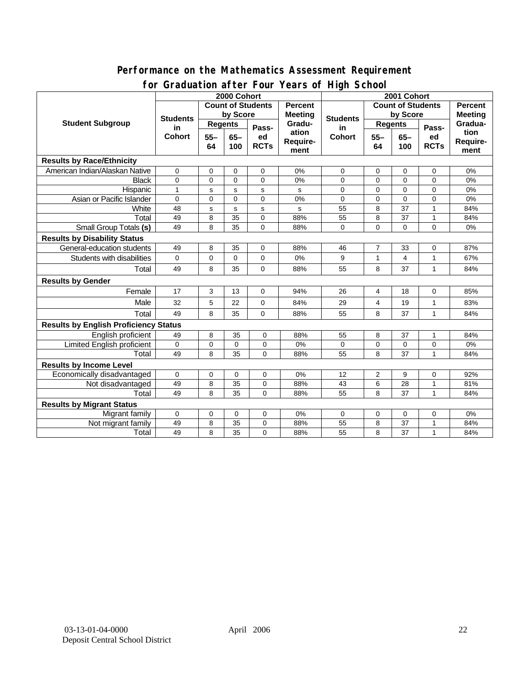#### **Performance on the Mathematics Assessment Requirement for Graduation after Four Years of High School**

|                                              | <u><b>Example 1999</b></u> Town Teams of The Concern<br>2000 Cohort |                |                 |             |                | 2001 Cohort         |                          |             |              |                |
|----------------------------------------------|---------------------------------------------------------------------|----------------|-----------------|-------------|----------------|---------------------|--------------------------|-------------|--------------|----------------|
|                                              | <b>Count of Students</b>                                            |                |                 |             | <b>Percent</b> |                     | <b>Count of Students</b> |             |              | <b>Percent</b> |
| <b>Student Subgroup</b>                      | <b>Students</b><br>in<br><b>Cohort</b>                              | by Score       |                 |             | <b>Meeting</b> |                     | by Score                 |             |              | <b>Meeting</b> |
|                                              |                                                                     | <b>Regents</b> |                 |             | Gradu-         | <b>Students</b>     | <b>Regents</b>           |             |              | Gradua-        |
|                                              |                                                                     |                | $65-$           | Pass-<br>ed | ation          | in<br><b>Cohort</b> | $55 -$                   | $65-$       | Pass-<br>ed  | tion           |
|                                              |                                                                     | $55 -$<br>64   | 100             | <b>RCTs</b> | Require-       |                     | 64                       | 100         | <b>RCTs</b>  | Require-       |
|                                              |                                                                     |                |                 |             | ment           |                     |                          |             |              | ment           |
| <b>Results by Race/Ethnicity</b>             |                                                                     |                |                 |             |                |                     |                          |             |              |                |
| American Indian/Alaskan Native               | 0                                                                   | 0              | 0               | $\mathbf 0$ | 0%             | 0                   | 0                        | 0           | 0            | 0%             |
| <b>Black</b>                                 | 0                                                                   | $\mathbf 0$    | $\mathbf 0$     | 0           | 0%             | 0                   | $\mathbf 0$              | $\mathbf 0$ | $\mathbf 0$  | 0%             |
| Hispanic                                     | $\mathbf{1}$                                                        | s              | s               | s           | s              | $\Omega$            | $\Omega$                 | $\Omega$    | 0            | 0%             |
| Asian or Pacific Islander                    | $\Omega$                                                            | $\Omega$       | $\Omega$        | $\Omega$    | 0%             | $\Omega$            | $\mathbf 0$              | $\Omega$    | 0            | 0%             |
| White                                        | 48                                                                  | s              | s               | s           | s              | 55                  | 8                        | 37          | 1            | 84%            |
| Total                                        | 49                                                                  | 8              | 35              | $\mathbf 0$ | 88%            | 55                  | 8                        | 37          | 1            | 84%            |
| <b>Small Group Totals (s)</b>                | 49                                                                  | 8              | 35              | 0           | 88%            | 0                   | $\mathbf 0$              | $\mathbf 0$ | 0            | 0%             |
| <b>Results by Disability Status</b>          |                                                                     |                |                 |             |                |                     |                          |             |              |                |
| General-education students                   | 49                                                                  | 8              | 35              | 0           | 88%            | 46                  | $\overline{7}$           | 33          | 0            | 87%            |
| Students with disabilities                   | 0                                                                   | $\mathbf 0$    | $\mathbf 0$     | 0           | 0%             | 9                   | 1                        | 4           | 1            | 67%            |
| Total                                        | 49                                                                  | 8              | 35              | $\Omega$    | 88%            | 55                  | 8                        | 37          | $\mathbf{1}$ | 84%            |
| <b>Results by Gender</b>                     |                                                                     |                |                 |             |                |                     |                          |             |              |                |
| Female                                       | 17                                                                  | 3              | 13              | $\mathbf 0$ | 94%            | 26                  | 4                        | 18          | $\mathbf 0$  | 85%            |
| Male                                         | 32                                                                  | 5              | 22              | 0           | 84%            | 29                  | 4                        | 19          | $\mathbf{1}$ | 83%            |
| Total                                        | 49                                                                  | 8              | 35              | 0           | 88%            | 55                  | 8                        | 37          | 1            | 84%            |
| <b>Results by English Proficiency Status</b> |                                                                     |                |                 |             |                |                     |                          |             |              |                |
| English proficient                           | 49                                                                  | 8              | 35              | $\mathbf 0$ | 88%            | 55                  | 8                        | 37          | 1            | 84%            |
| <b>Limited English proficient</b>            | 0                                                                   | $\mathbf 0$    | 0               | 0           | 0%             | 0                   | $\mathbf 0$              | 0           | 0            | 0%             |
| Total                                        | 49                                                                  | 8              | 35              | $\Omega$    | 88%            | 55                  | 8                        | 37          | $\mathbf{1}$ | 84%            |
| <b>Results by Income Level</b>               |                                                                     |                |                 |             |                |                     |                          |             |              |                |
| Economically disadvantaged                   | 0                                                                   | 0              | 0               | 0           | 0%             | 12                  | 2                        | 9           | 0            | 92%            |
| Not disadvantaged                            | 49                                                                  | 8              | $\overline{35}$ | 0           | 88%            | 43                  | 6                        | 28          | 1            | 81%            |
| Total                                        | 49                                                                  | 8              | 35              | $\Omega$    | 88%            | 55                  | 8                        | 37          | 1            | 84%            |
| <b>Results by Migrant Status</b>             |                                                                     |                |                 |             |                |                     |                          |             |              |                |
| Migrant family                               | 0                                                                   | 0              | 0               | 0           | 0%             | 0                   | 0                        | 0           | 0            | 0%             |
| Not migrant family                           | 49                                                                  | 8              | 35              | 0           | 88%            | 55                  | 8                        | 37          | 1            | 84%            |
| Total                                        | 49                                                                  | 8              | 35              | 0           | 88%            | 55                  | 8                        | 37          | 1            | 84%            |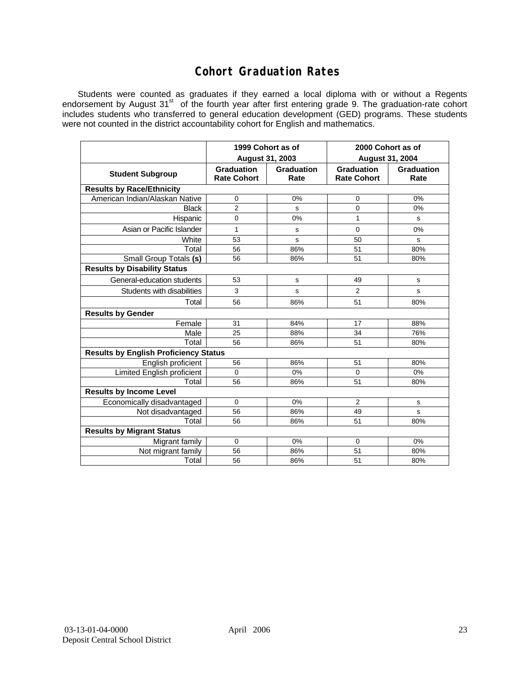## **Cohort Graduation Rates**

Students were counted as graduates if they earned a local diploma with or without a Regents endorsement by August 31<sup>st</sup> of the fourth year after first entering grade 9. The graduation-rate cohort includes students who transferred to general education development (GED) programs. These students were not counted in the district accountability cohort for English and mathematics.

|                                              | 1999 Cohort as of<br>August 31, 2003    |                    | 2000 Cohort as of<br><b>August 31, 2004</b> |                    |  |  |  |  |  |  |
|----------------------------------------------|-----------------------------------------|--------------------|---------------------------------------------|--------------------|--|--|--|--|--|--|
| <b>Student Subgroup</b>                      | <b>Graduation</b><br><b>Rate Cohort</b> | Graduation<br>Rate | <b>Graduation</b><br><b>Rate Cohort</b>     | Graduation<br>Rate |  |  |  |  |  |  |
| <b>Results by Race/Ethnicity</b>             |                                         |                    |                                             |                    |  |  |  |  |  |  |
| American Indian/Alaskan Native               | $\mathbf 0$                             | 0%                 | 0                                           | 0%                 |  |  |  |  |  |  |
| <b>Black</b>                                 | $\overline{2}$                          | s                  | 0                                           | 0%                 |  |  |  |  |  |  |
| Hispanic                                     | 0                                       | 0%                 | 1                                           | s                  |  |  |  |  |  |  |
| Asian or Pacific Islander                    | 1                                       | s                  | 0                                           | 0%                 |  |  |  |  |  |  |
| White                                        | 53                                      | s                  | 50                                          | s                  |  |  |  |  |  |  |
| Total                                        | 56                                      | 86%                | 51                                          | 80%                |  |  |  |  |  |  |
| Small Group Totals (s)                       | 56                                      | 86%                | 51                                          | 80%                |  |  |  |  |  |  |
| <b>Results by Disability Status</b>          |                                         |                    |                                             |                    |  |  |  |  |  |  |
| General-education students                   | 53                                      | s                  | 49                                          | s                  |  |  |  |  |  |  |
| Students with disabilities                   | 3                                       | s                  | $\overline{2}$                              | s                  |  |  |  |  |  |  |
| Total                                        | 56                                      | 86%                | 51                                          | 80%                |  |  |  |  |  |  |
| <b>Results by Gender</b>                     |                                         |                    |                                             |                    |  |  |  |  |  |  |
| Female                                       | 31                                      | 84%                | 17                                          | 88%                |  |  |  |  |  |  |
| Male                                         | 25                                      | 88%                | 34                                          | 76%                |  |  |  |  |  |  |
| Total                                        | 56                                      | 86%                | 51                                          | 80%                |  |  |  |  |  |  |
| <b>Results by English Proficiency Status</b> |                                         |                    |                                             |                    |  |  |  |  |  |  |
| English proficient                           | 56                                      | 86%                | 51                                          | 80%                |  |  |  |  |  |  |
| Limited English proficient                   | $\Omega$                                | 0%                 | 0                                           | 0%                 |  |  |  |  |  |  |
| Total                                        | 56                                      | 86%                | 51                                          | 80%                |  |  |  |  |  |  |
| <b>Results by Income Level</b>               |                                         |                    |                                             |                    |  |  |  |  |  |  |
| Economically disadvantaged                   | $\mathbf 0$                             | 0%                 | $\overline{2}$                              | s                  |  |  |  |  |  |  |
| Not disadvantaged                            | 56                                      | 86%                | 49                                          | s                  |  |  |  |  |  |  |
| Total                                        | 56                                      | 86%                | 51                                          | 80%                |  |  |  |  |  |  |
| <b>Results by Migrant Status</b>             |                                         |                    |                                             |                    |  |  |  |  |  |  |
| Migrant family                               | $\Omega$                                | 0%                 | $\mathbf 0$                                 | 0%                 |  |  |  |  |  |  |
| Not migrant family                           | 56                                      | 86%                | 51                                          | 80%                |  |  |  |  |  |  |
| Total                                        | 56                                      | 86%                | 51                                          | 80%                |  |  |  |  |  |  |